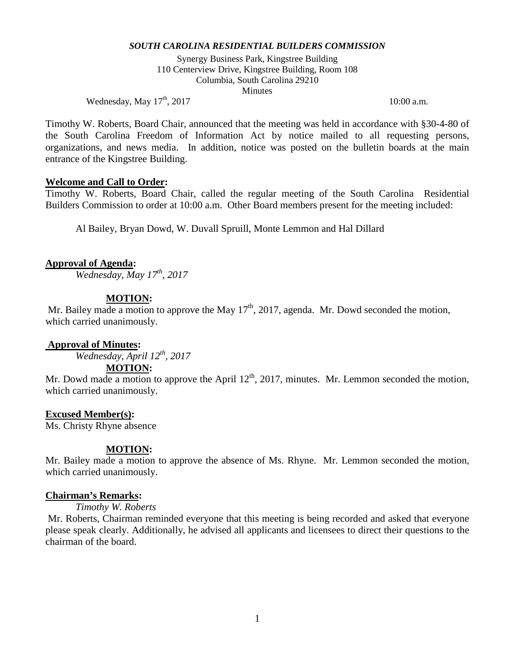Synergy Business Park, Kingstree Building 110 Centerview Drive, Kingstree Building, Room 108 Columbia, South Carolina 29210 **Minutes** 

Wednesday, May  $17^{\text{th}}$ , 2017 10:00 a.m.

Timothy W. Roberts, Board Chair, announced that the meeting was held in accordance with §30-4-80 of the South Carolina Freedom of Information Act by notice mailed to all requesting persons, organizations, and news media. In addition, notice was posted on the bulletin boards at the main entrance of the Kingstree Building.

#### **Welcome and Call to Order:**

Timothy W. Roberts, Board Chair, called the regular meeting of the South Carolina Residential Builders Commission to order at 10:00 a.m. Other Board members present for the meeting included:

Al Bailey, Bryan Dowd, W. Duvall Spruill, Monte Lemmon and Hal Dillard

## **Approval of Agenda:**

*Wednesday, May 17th, 2017*

# **MOTION:**

Mr. Bailey made a motion to approve the May  $17<sup>th</sup>$ , 2017, agenda. Mr. Dowd seconded the motion, which carried unanimously.

## **Approval of Minutes:**

*Wednesday, April 12th, 2017*

## **MOTION:**

Mr. Dowd made a motion to approve the April  $12<sup>th</sup>$ , 2017, minutes. Mr. Lemmon seconded the motion, which carried unanimously.

## **Excused Member(s):**

Ms. Christy Rhyne absence

## **MOTION:**

Mr. Bailey made a motion to approve the absence of Ms. Rhyne. Mr. Lemmon seconded the motion, which carried unanimously.

## **Chairman's Remarks:**

*Timothy W. Roberts*

Mr. Roberts, Chairman reminded everyone that this meeting is being recorded and asked that everyone please speak clearly. Additionally, he advised all applicants and licensees to direct their questions to the chairman of the board.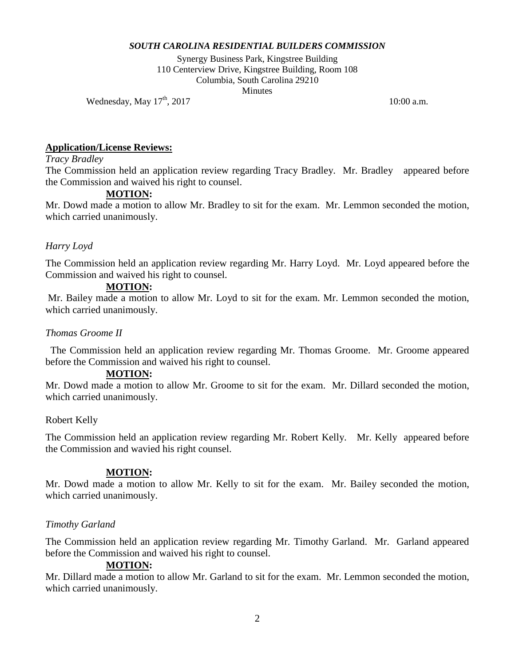Synergy Business Park, Kingstree Building 110 Centerview Drive, Kingstree Building, Room 108 Columbia, South Carolina 29210 **Minutes** 

Wednesday, May  $17^{\text{th}}$ , 2017 10:00 a.m.

# **Application/License Reviews:**

# *Tracy Bradley*

The Commission held an application review regarding Tracy Bradley. Mr. Bradley appeared before the Commission and waived his right to counsel.

# **MOTION:**

Mr. Dowd made a motion to allow Mr. Bradley to sit for the exam. Mr. Lemmon seconded the motion, which carried unanimously.

# *Harry Loyd*

The Commission held an application review regarding Mr. Harry Loyd. Mr. Loyd appeared before the Commission and waived his right to counsel.

# **MOTION:**

Mr. Bailey made a motion to allow Mr. Loyd to sit for the exam. Mr. Lemmon seconded the motion, which carried unanimously.

## *Thomas Groome II*

The Commission held an application review regarding Mr. Thomas Groome. Mr. Groome appeared before the Commission and waived his right to counsel.

## **MOTION:**

Mr. Dowd made a motion to allow Mr. Groome to sit for the exam. Mr. Dillard seconded the motion, which carried unanimously.

## Robert Kelly

The Commission held an application review regarding Mr. Robert Kelly. Mr. Kelly appeared before the Commission and wavied his right counsel.

## **MOTION:**

Mr. Dowd made a motion to allow Mr. Kelly to sit for the exam. Mr. Bailey seconded the motion, which carried unanimously.

## *Timothy Garland*

The Commission held an application review regarding Mr. Timothy Garland. Mr. Garland appeared before the Commission and waived his right to counsel.

## **MOTION:**

Mr. Dillard made a motion to allow Mr. Garland to sit for the exam. Mr. Lemmon seconded the motion, which carried unanimously.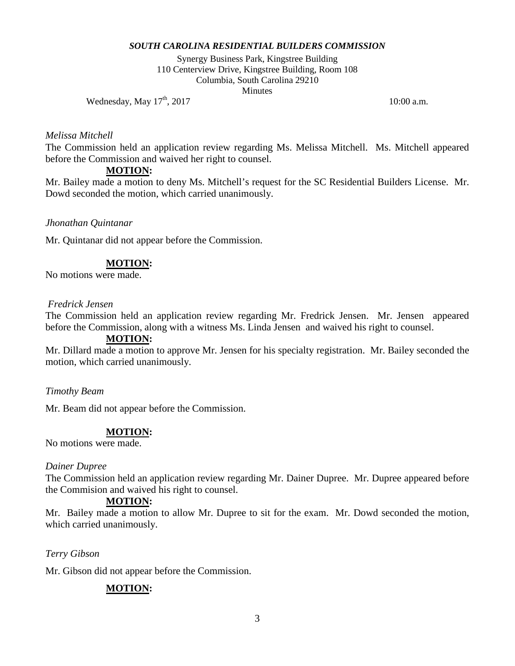Synergy Business Park, Kingstree Building 110 Centerview Drive, Kingstree Building, Room 108 Columbia, South Carolina 29210 **Minutes** 

Wednesday, May  $17^{\text{th}}$ , 2017 10:00 a.m.

#### *Melissa Mitchell*

The Commission held an application review regarding Ms. Melissa Mitchell. Ms. Mitchell appeared before the Commission and waived her right to counsel.

#### **MOTION:**

Mr. Bailey made a motion to deny Ms. Mitchell's request for the SC Residential Builders License. Mr. Dowd seconded the motion, which carried unanimously.

#### *Jhonathan Quintanar*

Mr. Quintanar did not appear before the Commission.

#### **MOTION:**

No motions were made.

#### *Fredrick Jensen*

The Commission held an application review regarding Mr. Fredrick Jensen. Mr. Jensen appeared before the Commission, along with a witness Ms. Linda Jensen and waived his right to counsel.

#### **MOTION:**

Mr. Dillard made a motion to approve Mr. Jensen for his specialty registration. Mr. Bailey seconded the motion, which carried unanimously.

#### *Timothy Beam*

Mr. Beam did not appear before the Commission.

## **MOTION:**

No motions were made.

#### *Dainer Dupree*

The Commission held an application review regarding Mr. Dainer Dupree. Mr. Dupree appeared before the Commision and waived his right to counsel.

## **MOTION:**

Mr. Bailey made a motion to allow Mr. Dupree to sit for the exam. Mr. Dowd seconded the motion, which carried unanimously.

#### *Terry Gibson*

Mr. Gibson did not appear before the Commission.

## **MOTION:**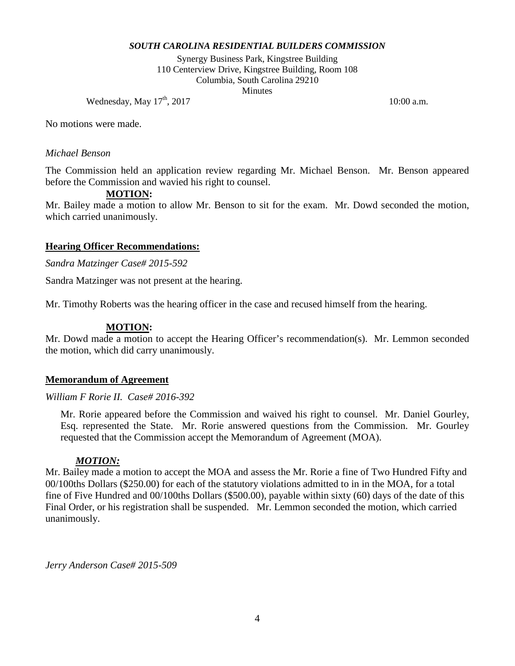Synergy Business Park, Kingstree Building 110 Centerview Drive, Kingstree Building, Room 108 Columbia, South Carolina 29210 **Minutes** 

Wednesday, May  $17^{\text{th}}$ , 2017 10:00 a.m.

No motions were made.

# *Michael Benson*

The Commission held an application review regarding Mr. Michael Benson. Mr. Benson appeared before the Commission and wavied his right to counsel.

# **MOTION:**

Mr. Bailey made a motion to allow Mr. Benson to sit for the exam. Mr. Dowd seconded the motion, which carried unanimously.

## **Hearing Officer Recommendations:**

*Sandra Matzinger Case# 2015-592*

Sandra Matzinger was not present at the hearing.

Mr. Timothy Roberts was the hearing officer in the case and recused himself from the hearing.

#### **MOTION:**

Mr. Dowd made a motion to accept the Hearing Officer's recommendation(s). Mr. Lemmon seconded the motion, which did carry unanimously.

#### **Memorandum of Agreement**

#### *William F Rorie II. Case# 2016-392*

Mr. Rorie appeared before the Commission and waived his right to counsel. Mr. Daniel Gourley, Esq. represented the State. Mr. Rorie answered questions from the Commission. Mr. Gourley requested that the Commission accept the Memorandum of Agreement (MOA).

## *MOTION:*

Mr. Bailey made a motion to accept the MOA and assess the Mr. Rorie a fine of Two Hundred Fifty and 00/100ths Dollars (\$250.00) for each of the statutory violations admitted to in in the MOA, for a total fine of Five Hundred and 00/100ths Dollars (\$500.00), payable within sixty (60) days of the date of this Final Order, or his registration shall be suspended. Mr. Lemmon seconded the motion, which carried unanimously.

*Jerry Anderson Case# 2015-509*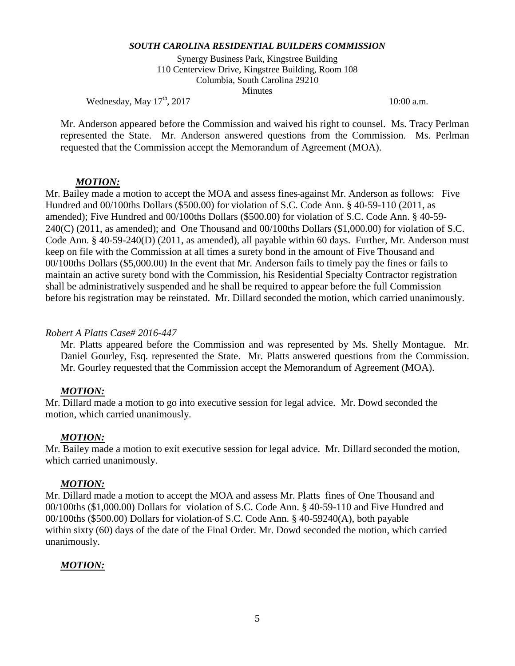Synergy Business Park, Kingstree Building 110 Centerview Drive, Kingstree Building, Room 108 Columbia, South Carolina 29210 **Minutes** 

Wednesday, May  $17^{\text{th}}$ , 2017 10:00 a.m.

Mr. Anderson appeared before the Commission and waived his right to counsel. Ms. Tracy Perlman represented the State. Mr. Anderson answered questions from the Commission. Ms. Perlman requested that the Commission accept the Memorandum of Agreement (MOA).

#### *MOTION:*

Mr. Bailey made a motion to accept the MOA and assess fines against Mr. Anderson as follows: Five Hundred and 00/100ths Dollars (\$500.00) for violation of S.C. Code Ann. § 40-59-110 (2011, as amended); Five Hundred and 00/100ths Dollars (\$500.00) for violation of S.C. Code Ann. § 40-59- 240(C) (2011, as amended); and One Thousand and 00/100ths Dollars (\$1,000.00) for violation of S.C. Code Ann. § 40-59-240(D) (2011, as amended), all payable within 60 days. Further, Mr. Anderson must keep on file with the Commission at all times a surety bond in the amount of Five Thousand and 00/100ths Dollars (\$5,000.00) In the event that Mr. Anderson fails to timely pay the fines or fails to maintain an active surety bond with the Commission, his Residential Specialty Contractor registration shall be administratively suspended and he shall be required to appear before the full Commission before his registration may be reinstated. Mr. Dillard seconded the motion, which carried unanimously.

#### *Robert A Platts Case# 2016-447*

Mr. Platts appeared before the Commission and was represented by Ms. Shelly Montague. Mr. Daniel Gourley, Esq. represented the State. Mr. Platts answered questions from the Commission. Mr. Gourley requested that the Commission accept the Memorandum of Agreement (MOA).

## *MOTION:*

Mr. Dillard made a motion to go into executive session for legal advice. Mr. Dowd seconded the motion, which carried unanimously.

## *MOTION:*

Mr. Bailey made a motion to exit executive session for legal advice. Mr. Dillard seconded the motion, which carried unanimously.

#### *MOTION:*

Mr. Dillard made a motion to accept the MOA and assess Mr. Platts fines of One Thousand and 00/100ths (\$1,000.00) Dollars for violation of S.C. Code Ann. § 40-59-110 and Five Hundred and 00/100ths (\$500.00) Dollars for violation of S.C. Code Ann. § 40-59240(A), both payable within sixty (60) days of the date of the Final Order. Mr. Dowd seconded the motion, which carried unanimously.

## *MOTION:*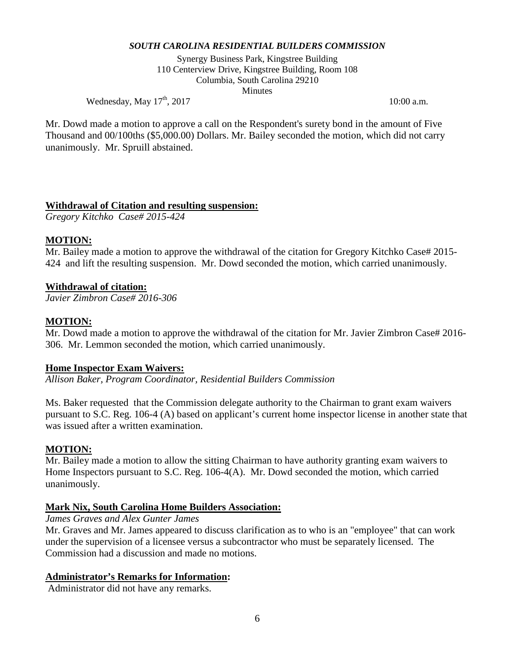Synergy Business Park, Kingstree Building 110 Centerview Drive, Kingstree Building, Room 108 Columbia, South Carolina 29210 **Minutes** 

Wednesday, May  $17^{\text{th}}$ , 2017 10:00 a.m.

Mr. Dowd made a motion to approve a call on the Respondent's surety bond in the amount of Five Thousand and 00/100ths (\$5,000.00) Dollars. Mr. Bailey seconded the motion, which did not carry unanimously. Mr. Spruill abstained.

# **Withdrawal of Citation and resulting suspension:**

*Gregory Kitchko Case# 2015-424*

# **MOTION:**

Mr. Bailey made a motion to approve the withdrawal of the citation for Gregory Kitchko Case# 2015-424 and lift the resulting suspension. Mr. Dowd seconded the motion, which carried unanimously.

# **Withdrawal of citation:**

*Javier Zimbron Case# 2016-306*

# **MOTION:**

Mr. Dowd made a motion to approve the withdrawal of the citation for Mr. Javier Zimbron Case# 2016-306. Mr. Lemmon seconded the motion, which carried unanimously.

## **Home Inspector Exam Waivers:**

*Allison Baker, Program Coordinator, Residential Builders Commission* 

Ms. Baker requested that the Commission delegate authority to the Chairman to grant exam waivers pursuant to S.C. Reg. 106-4 (A) based on applicant's current home inspector license in another state that was issued after a written examination.

## **MOTION:**

Mr. Bailey made a motion to allow the sitting Chairman to have authority granting exam waivers to Home Inspectors pursuant to S.C. Reg. 106-4(A). Mr. Dowd seconded the motion, which carried unanimously.

## **Mark Nix, South Carolina Home Builders Association:**

## *James Graves and Alex Gunter James*

Mr. Graves and Mr. James appeared to discuss clarification as to who is an "employee" that can work under the supervision of a licensee versus a subcontractor who must be separately licensed. The Commission had a discussion and made no motions.

## **Administrator's Remarks for Information:**

Administrator did not have any remarks.